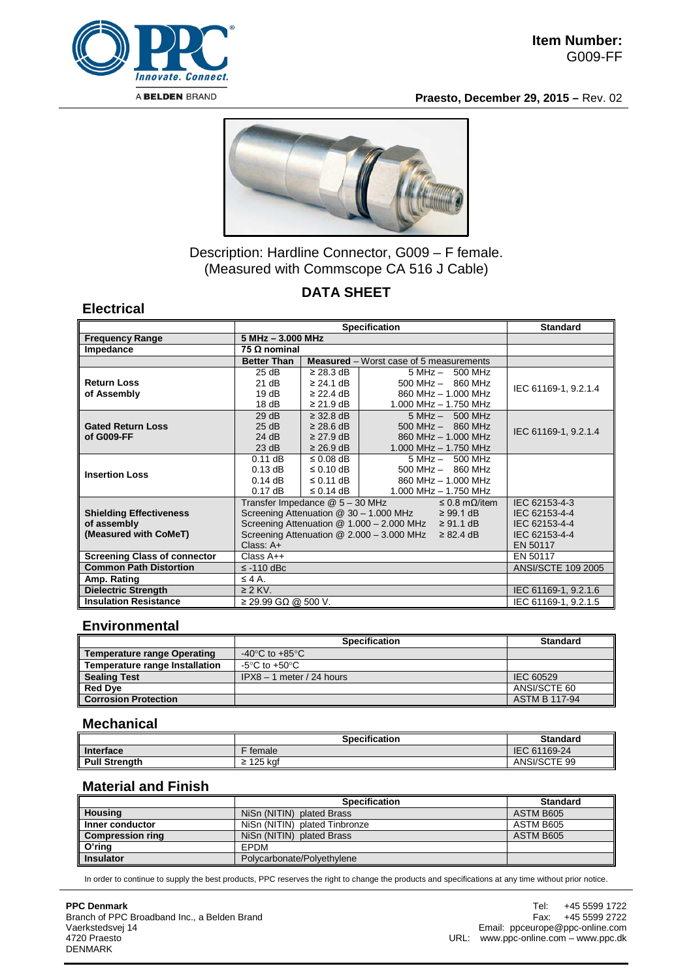

**Praesto, December 29, 2015 –** Rev. 02



# Description: Hardline Connector, G009 – F female. (Measured with Commscope CA 516 J Cable)

## **DATA SHEET**

#### **Electrical**

|                                     | <b>Specification</b>                                           |                                                |                       | <b>Standard</b>         |                           |
|-------------------------------------|----------------------------------------------------------------|------------------------------------------------|-----------------------|-------------------------|---------------------------|
| <b>Frequency Range</b>              | $5 MHz - 3.000 MHz$                                            |                                                |                       |                         |                           |
| Impedance                           | 75 $\Omega$ nominal                                            |                                                |                       |                         |                           |
|                                     | <b>Better Than</b>                                             | <b>Measured</b> – Worst case of 5 measurements |                       |                         |                           |
|                                     | 25 dB                                                          | $\geq$ 28.3 dB                                 |                       | $5 MHz - 500 MHz$       |                           |
| <b>Return Loss</b>                  | 21 dB                                                          | $\geq$ 24.1 dB                                 |                       | $500$ MHz $-$ 860 MHz   | IEC 61169-1, 9.2.1.4      |
| of Assembly                         | 19dB                                                           | $\geq$ 22.4 dB                                 |                       | 860 MHz - 1,000 MHz     |                           |
|                                     | 18dB                                                           | $\geq$ 21.9 dB                                 |                       | 1.000 MHz $-$ 1.750 MHz |                           |
|                                     | 29 dB                                                          | $\geq$ 32.8 dB                                 |                       | $5 MHz - 500 MHz$       |                           |
| <b>Gated Return Loss</b>            | 25 dB                                                          | $\geq$ 28.6 dB                                 |                       | $500$ MHz $-$ 860 MHz   | IEC 61169-1, 9.2.1.4      |
| of G009-FF                          | 24 dB                                                          | $\geq$ 27.9 dB                                 |                       | 860 MHz - 1.000 MHz     |                           |
|                                     | 23 dB                                                          | $\geq$ 26.9 dB                                 |                       | 1.000 MHz - 1.750 MHz   |                           |
| <b>Insertion Loss</b>               | $0.11$ dB                                                      | $\leq$ 0.08 dB                                 | 5 MHz - 500 MHz       |                         |                           |
|                                     | $0.13$ dB                                                      | $\leq$ 0.10 dB                                 | $500$ MHz $-$ 860 MHz |                         |                           |
|                                     | $0.14$ dB                                                      | $\leq$ 0.11 dB                                 | 860 MHz - 1.000 MHz   |                         |                           |
|                                     | $0.17$ dB                                                      | $\leq$ 0.14 dB                                 | 1.000 MHz - 1.750 MHz |                         |                           |
|                                     | Transfer Impedance @ 5 - 30 MHz<br>$\leq$ 0.8 m $\Omega$ /item |                                                | IEC 62153-4-3         |                         |                           |
| <b>Shielding Effectiveness</b>      | Screening Attenuation $@$ 30 - 1.000 MHz $\geq 99.1$ dB        |                                                |                       | IEC 62153-4-4           |                           |
| of assembly                         | Screening Attenuation @ $1.000 - 2.000$ MHz $\geq 91.1$ dB     |                                                |                       |                         | IEC 62153-4-4             |
| (Measured with CoMeT)               | Screening Attenuation @ 2.000 - 3.000 MHz<br>$\geq$ 82.4 dB    |                                                |                       |                         | IEC 62153-4-4<br>EN 50117 |
|                                     |                                                                | Class: A+                                      |                       |                         |                           |
| <b>Screening Class of connector</b> | $Class A++$                                                    |                                                |                       |                         | EN 50117                  |
| <b>Common Path Distortion</b>       | $\le$ -110 dBc                                                 |                                                |                       |                         | <b>ANSI/SCTE 109 2005</b> |
| Amp. Rating                         | $\leq 4$ A.                                                    |                                                |                       |                         |                           |
| <b>Dielectric Strength</b>          | $\geq$ 2 KV.                                                   |                                                |                       |                         | IEC 61169-1, 9.2.1.6      |
| <b>Insulation Resistance</b>        | $\geq$ 29.99 GΩ @ 500 V.                                       |                                                |                       |                         | IEC 61169-1, 9.2.1.5      |

### **Environmental**

|                                | <b>Specification</b>                 | <b>Standard</b>      |
|--------------------------------|--------------------------------------|----------------------|
| Temperature range Operating    | -40 $^{\circ}$ C to +85 $^{\circ}$ C |                      |
| Temperature range Installation | -5°C to +50°C.                       |                      |
| <b>Sealing Test</b>            | $IPX8 - 1$ meter / 24 hours          | IEC 60529            |
| <b>Red Dye</b>                 |                                      | ANSI/SCTE 60         |
| <b>Corrosion Protection</b>    |                                      | <b>ASTM B 117-94</b> |

#### **Mechanical**

|                      | <b>Specification</b> | <b>Standard</b> |
|----------------------|----------------------|-----------------|
| Interface            | female               | IEC 61169-24    |
| <b>Pull Strenath</b> | 125 kaf<br><u>-</u>  | ANSI/SCTE 99    |

# **Material and Finish**

|                         | <b>Specification</b>          | <b>Standard</b> |
|-------------------------|-------------------------------|-----------------|
| <b>Housing</b>          | NiSn (NITIN) plated Brass     | ASTM B605       |
| Inner conductor         | NiSn (NITIN) plated Tinbronze | ASTM B605       |
| <b>Compression ring</b> | NiSn (NITIN) plated Brass     | ASTM B605       |
| O'ring                  | EPDM                          |                 |
| <b>Insulator</b>        | Polycarbonate/Polyethylene    |                 |

In order to continue to supply the best products, PPC reserves the right to change the products and specifications at any time without prior notice.

#### **PPC Denmark**

Branch of PPC Broadband Inc., a Belden Brand Vaerkstedsvej 14 4720 Praesto DENMARK